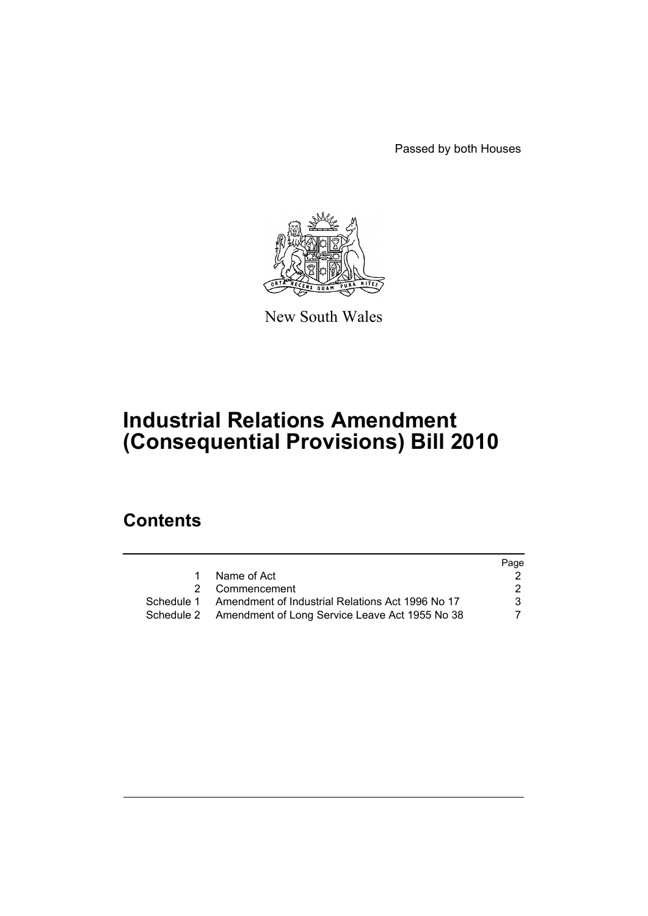Passed by both Houses



New South Wales

# **Industrial Relations Amendment (Consequential Provisions) Bill 2010**

## **Contents**

|   |                                                             | Page |
|---|-------------------------------------------------------------|------|
| 1 | Name of Act                                                 |      |
|   | 2 Commencement                                              | 2    |
|   | Schedule 1 Amendment of Industrial Relations Act 1996 No 17 | 3    |
|   | Schedule 2 Amendment of Long Service Leave Act 1955 No 38   | 7    |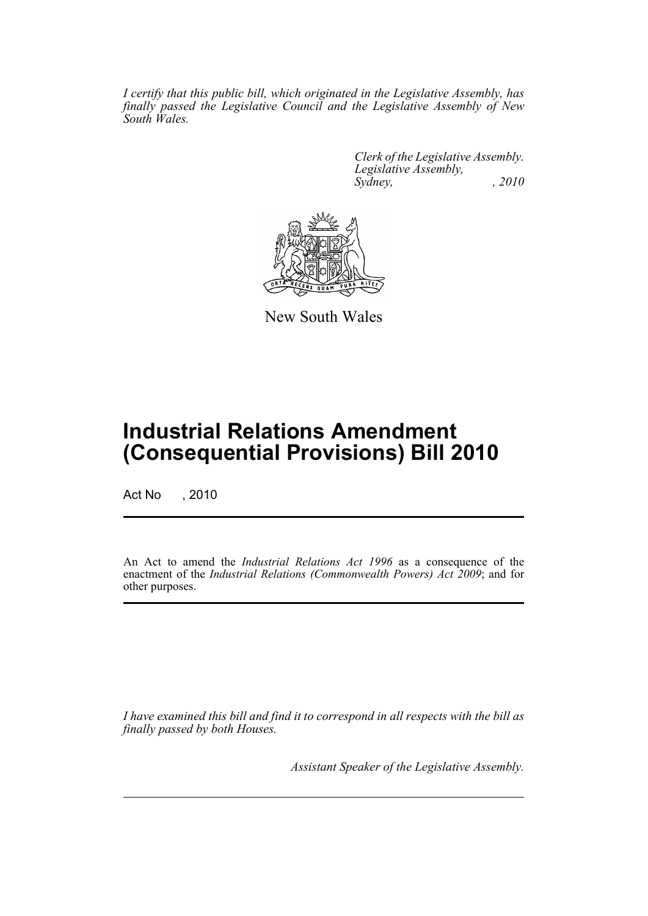*I certify that this public bill, which originated in the Legislative Assembly, has finally passed the Legislative Council and the Legislative Assembly of New South Wales.*

> *Clerk of the Legislative Assembly. Legislative Assembly, Sydney, , 2010*



New South Wales

# **Industrial Relations Amendment (Consequential Provisions) Bill 2010**

Act No , 2010

An Act to amend the *Industrial Relations Act 1996* as a consequence of the enactment of the *Industrial Relations (Commonwealth Powers) Act 2009*; and for other purposes.

*I have examined this bill and find it to correspond in all respects with the bill as finally passed by both Houses.*

*Assistant Speaker of the Legislative Assembly.*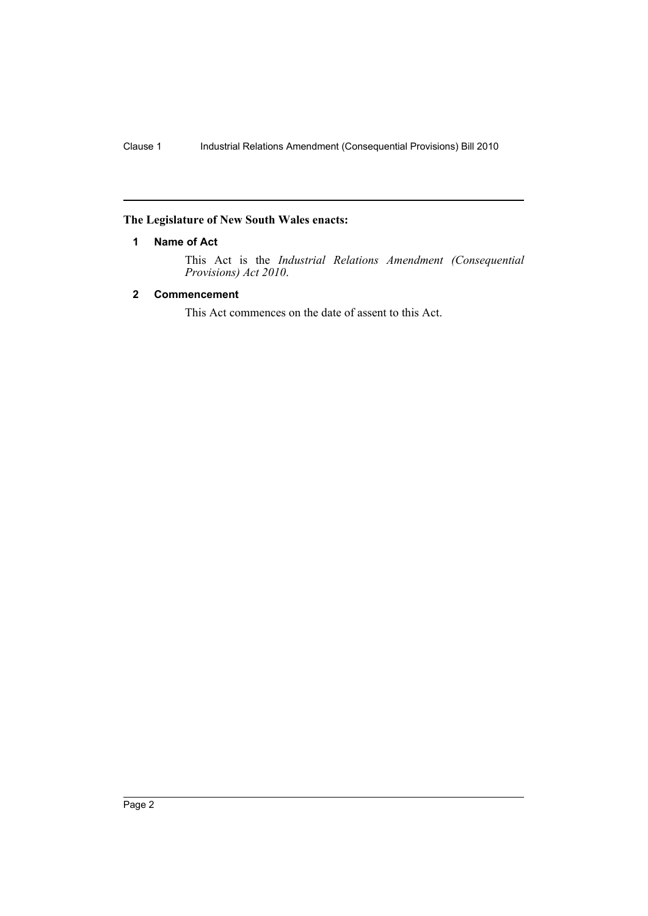## <span id="page-2-0"></span>**The Legislature of New South Wales enacts:**

#### **1 Name of Act**

This Act is the *Industrial Relations Amendment (Consequential Provisions) Act 2010*.

### <span id="page-2-1"></span>**2 Commencement**

This Act commences on the date of assent to this Act.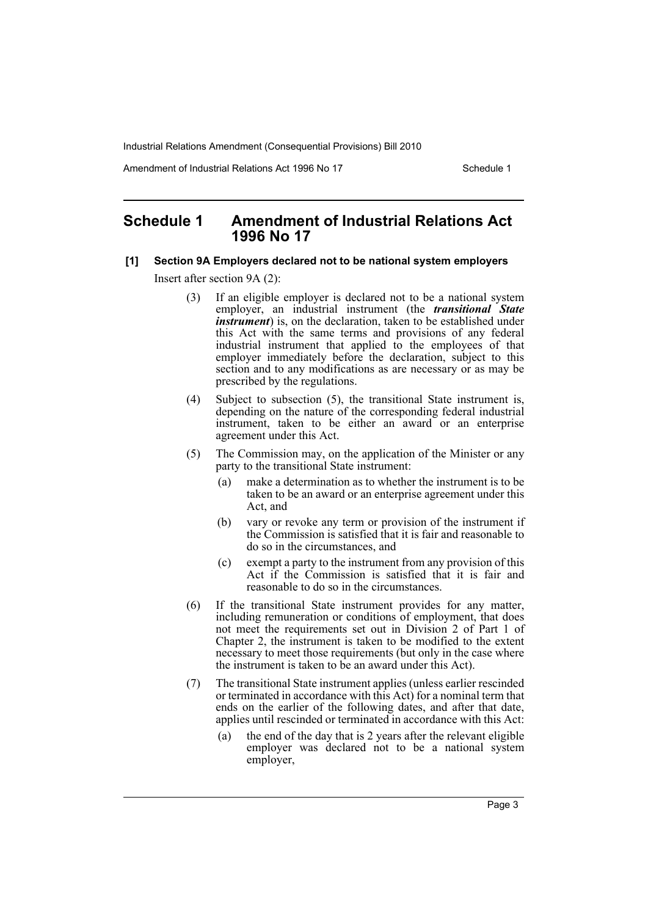Amendment of Industrial Relations Act 1996 No 17 Schedule 1

## <span id="page-3-0"></span>**Schedule 1 Amendment of Industrial Relations Act 1996 No 17**

#### **[1] Section 9A Employers declared not to be national system employers**

Insert after section 9A (2):

- (3) If an eligible employer is declared not to be a national system employer, an industrial instrument (the *transitional State instrument*) is, on the declaration, taken to be established under this Act with the same terms and provisions of any federal industrial instrument that applied to the employees of that employer immediately before the declaration, subject to this section and to any modifications as are necessary or as may be prescribed by the regulations.
- (4) Subject to subsection (5), the transitional State instrument is, depending on the nature of the corresponding federal industrial instrument, taken to be either an award or an enterprise agreement under this Act.
- (5) The Commission may, on the application of the Minister or any party to the transitional State instrument:
	- (a) make a determination as to whether the instrument is to be taken to be an award or an enterprise agreement under this Act, and
	- (b) vary or revoke any term or provision of the instrument if the Commission is satisfied that it is fair and reasonable to do so in the circumstances, and
	- (c) exempt a party to the instrument from any provision of this Act if the Commission is satisfied that it is fair and reasonable to do so in the circumstances.
- (6) If the transitional State instrument provides for any matter, including remuneration or conditions of employment, that does not meet the requirements set out in Division 2 of Part 1 of Chapter 2, the instrument is taken to be modified to the extent necessary to meet those requirements (but only in the case where the instrument is taken to be an award under this Act).
- (7) The transitional State instrument applies (unless earlier rescinded or terminated in accordance with this Act) for a nominal term that ends on the earlier of the following dates, and after that date, applies until rescinded or terminated in accordance with this Act:
	- (a) the end of the day that is 2 years after the relevant eligible employer was declared not to be a national system employer,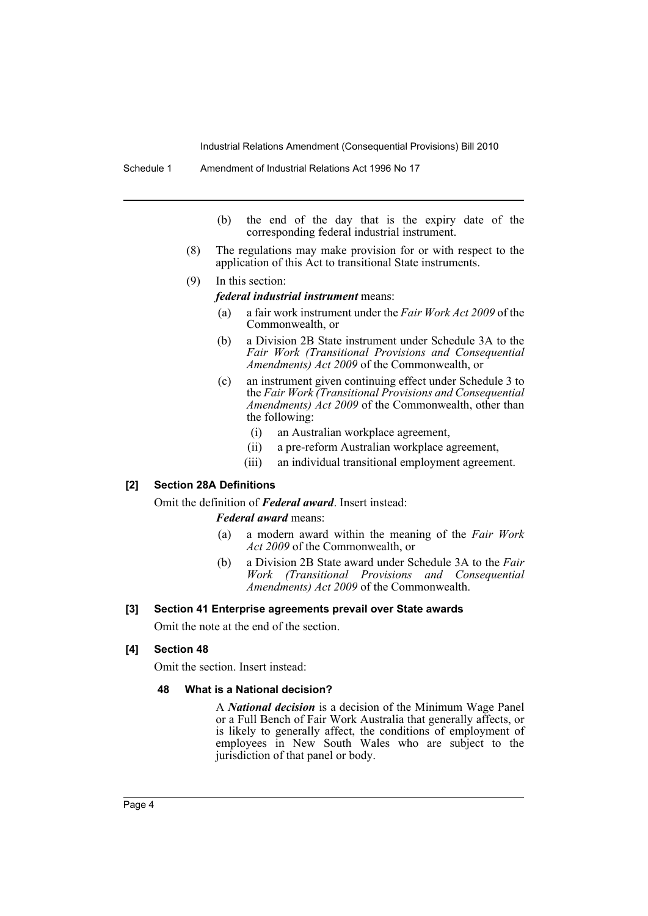- (b) the end of the day that is the expiry date of the corresponding federal industrial instrument.
- (8) The regulations may make provision for or with respect to the application of this Act to transitional State instruments.
- (9) In this section:

*federal industrial instrument* means:

- (a) a fair work instrument under the *Fair Work Act 2009* of the Commonwealth, or
- (b) a Division 2B State instrument under Schedule 3A to the *Fair Work (Transitional Provisions and Consequential Amendments) Act 2009* of the Commonwealth, or
- (c) an instrument given continuing effect under Schedule 3 to the *Fair Work (Transitional Provisions and Consequential Amendments) Act 2009* of the Commonwealth, other than the following:
	- (i) an Australian workplace agreement,
	- (ii) a pre-reform Australian workplace agreement,
	- (iii) an individual transitional employment agreement.

#### **[2] Section 28A Definitions**

Omit the definition of *Federal award*. Insert instead:

#### *Federal award* means:

- (a) a modern award within the meaning of the *Fair Work Act 2009* of the Commonwealth, or
- (b) a Division 2B State award under Schedule 3A to the *Fair Work (Transitional Provisions and Consequential Amendments) Act 2009* of the Commonwealth.

#### **[3] Section 41 Enterprise agreements prevail over State awards**

Omit the note at the end of the section.

#### **[4] Section 48**

Omit the section. Insert instead:

#### **48 What is a National decision?**

A *National decision* is a decision of the Minimum Wage Panel or a Full Bench of Fair Work Australia that generally affects, or is likely to generally affect, the conditions of employment of employees in New South Wales who are subject to the jurisdiction of that panel or body.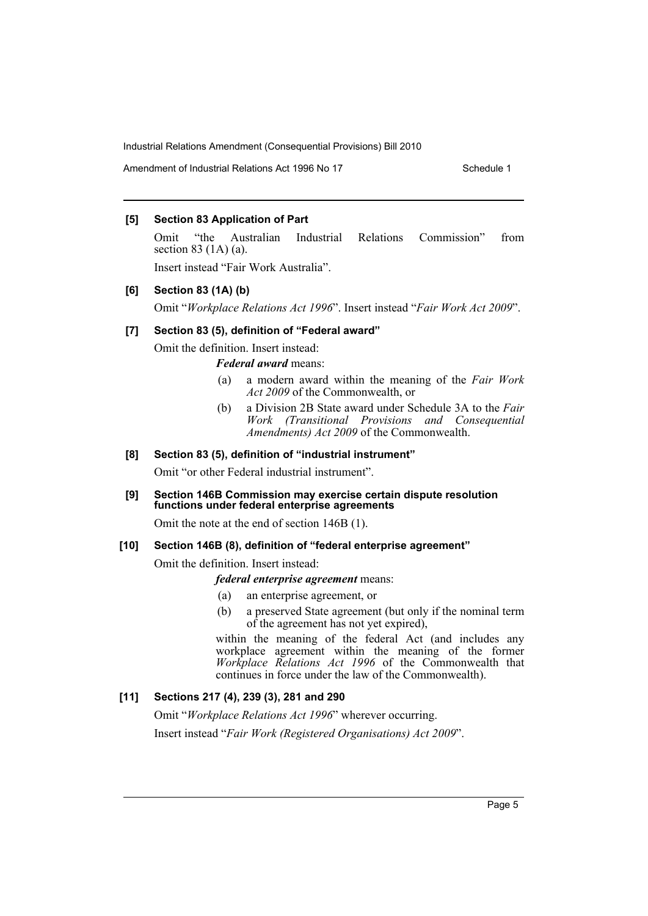Amendment of Industrial Relations Act 1996 No 17 Schedule 1

#### **[5] Section 83 Application of Part**

Omit "the Australian Industrial Relations Commission" from section 83 (1A) (a).

Insert instead "Fair Work Australia".

#### **[6] Section 83 (1A) (b)**

Omit "*Workplace Relations Act 1996*". Insert instead "*Fair Work Act 2009*".

#### **[7] Section 83 (5), definition of "Federal award"**

Omit the definition. Insert instead:

*Federal award* means:

- (a) a modern award within the meaning of the *Fair Work Act 2009* of the Commonwealth, or
- (b) a Division 2B State award under Schedule 3A to the *Fair Work (Transitional Provisions and Consequential Amendments) Act 2009* of the Commonwealth.

#### **[8] Section 83 (5), definition of "industrial instrument"**

Omit "or other Federal industrial instrument".

#### **[9] Section 146B Commission may exercise certain dispute resolution functions under federal enterprise agreements**

Omit the note at the end of section 146B (1).

#### **[10] Section 146B (8), definition of "federal enterprise agreement"**

Omit the definition. Insert instead:

#### *federal enterprise agreement* means:

- (a) an enterprise agreement, or
- (b) a preserved State agreement (but only if the nominal term of the agreement has not yet expired),

within the meaning of the federal Act (and includes any workplace agreement within the meaning of the former *Workplace Relations Act 1996* of the Commonwealth that continues in force under the law of the Commonwealth).

## **[11] Sections 217 (4), 239 (3), 281 and 290**

Omit "*Workplace Relations Act 1996*" wherever occurring. Insert instead "*Fair Work (Registered Organisations) Act 2009*".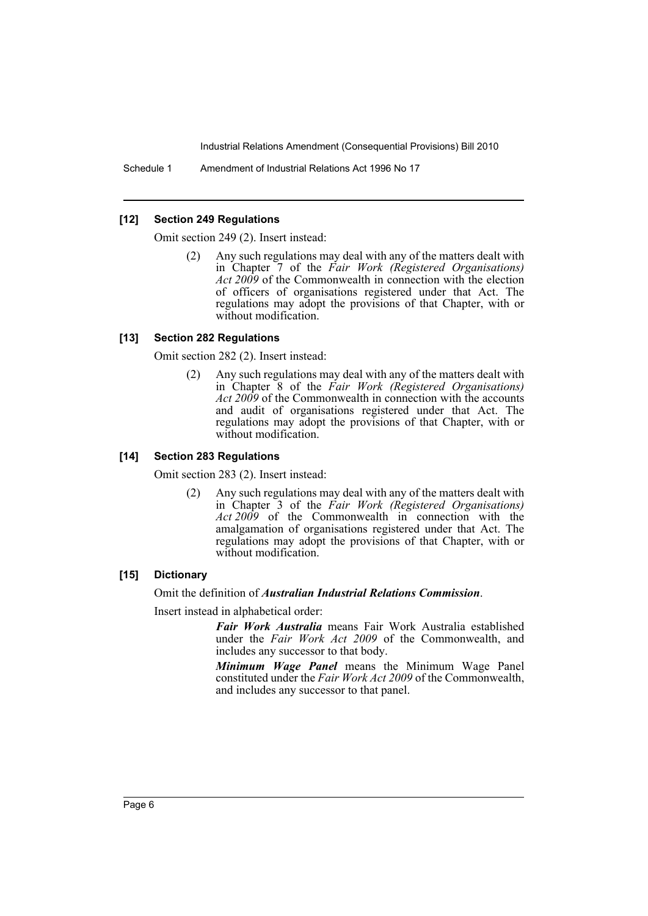Schedule 1 Amendment of Industrial Relations Act 1996 No 17

#### **[12] Section 249 Regulations**

Omit section 249 (2). Insert instead:

Any such regulations may deal with any of the matters dealt with in Chapter 7 of the *Fair Work (Registered Organisations) Act 2009* of the Commonwealth in connection with the election of officers of organisations registered under that Act. The regulations may adopt the provisions of that Chapter, with or without modification.

#### **[13] Section 282 Regulations**

Omit section 282 (2). Insert instead:

Any such regulations may deal with any of the matters dealt with in Chapter 8 of the *Fair Work (Registered Organisations) Act 2009* of the Commonwealth in connection with the accounts and audit of organisations registered under that Act. The regulations may adopt the provisions of that Chapter, with or without modification.

#### **[14] Section 283 Regulations**

Omit section 283 (2). Insert instead:

(2) Any such regulations may deal with any of the matters dealt with in Chapter 3 of the *Fair Work (Registered Organisations) Act 2009* of the Commonwealth in connection with the amalgamation of organisations registered under that Act. The regulations may adopt the provisions of that Chapter, with or without modification.

#### **[15] Dictionary**

Omit the definition of *Australian Industrial Relations Commission*.

Insert instead in alphabetical order:

*Fair Work Australia* means Fair Work Australia established under the *Fair Work Act 2009* of the Commonwealth, and includes any successor to that body.

*Minimum Wage Panel* means the Minimum Wage Panel constituted under the *Fair Work Act 2009* of the Commonwealth, and includes any successor to that panel.